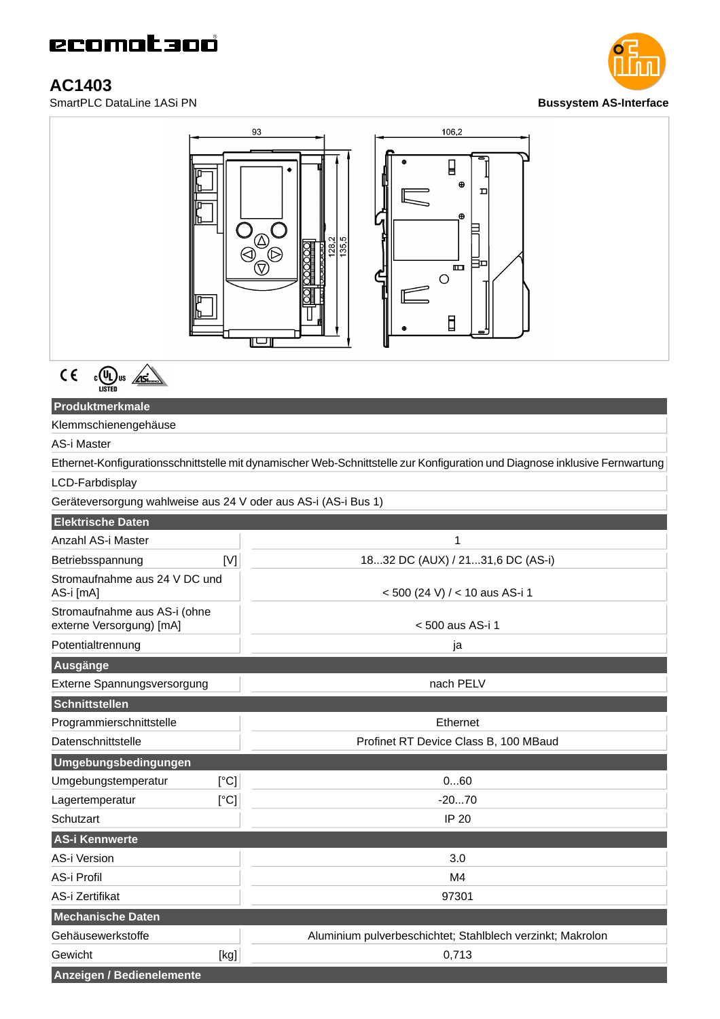# **AC1403**





 $C \in$  $c$ (U<sub>L</sub>) us <u>Asi</u>

### **Produktmerkmale**

Klemmschienengehäuse

## AS-i Master

Ethernet-Konfigurationsschnittstelle mit dynamischer Web-Schnittstelle zur Konfiguration und Diagnose inklusive Fernwartung

#### LCD-Farbdisplay

Geräteversorgung wahlweise aus 24 V oder aus AS-i (AS-i Bus 1)

| <b>Elektrische Daten</b>                                 |                                                            |
|----------------------------------------------------------|------------------------------------------------------------|
| Anzahl AS-i Master                                       | $\mathbf{1}$                                               |
| [N]<br>Betriebsspannung                                  | 1832 DC (AUX) / 2131,6 DC (AS-i)                           |
| Stromaufnahme aus 24 V DC und<br>AS-i [mA]               | < 500 (24 V) / < 10 aus AS-i 1                             |
| Stromaufnahme aus AS-i (ohne<br>externe Versorgung) [mA] | < 500 aus AS-i 1                                           |
| Potentialtrennung                                        | ja                                                         |
| Ausgänge                                                 |                                                            |
| Externe Spannungsversorgung                              | nach PELV                                                  |
| Schnittstellen                                           |                                                            |
| Programmierschnittstelle                                 | Ethernet                                                   |
| Datenschnittstelle                                       | Profinet RT Device Class B, 100 MBaud                      |
| Umgebungsbedingungen                                     |                                                            |
| [°C]<br>Umgebungstemperatur                              | 060                                                        |
| [°C]<br>Lagertemperatur                                  | $-2070$                                                    |
| Schutzart                                                | <b>IP 20</b>                                               |
| <b>AS-i Kennwerte</b>                                    |                                                            |
| AS-i Version                                             | 3.0                                                        |
| AS-i Profil                                              | M4                                                         |
| AS-i Zertifikat                                          | 97301                                                      |
| <b>Mechanische Daten</b>                                 |                                                            |
| Gehäusewerkstoffe                                        | Aluminium pulverbeschichtet; Stahlblech verzinkt; Makrolon |
| Gewicht<br>[kg]                                          | 0,713                                                      |
| Anzeigen / Bedienelemente                                |                                                            |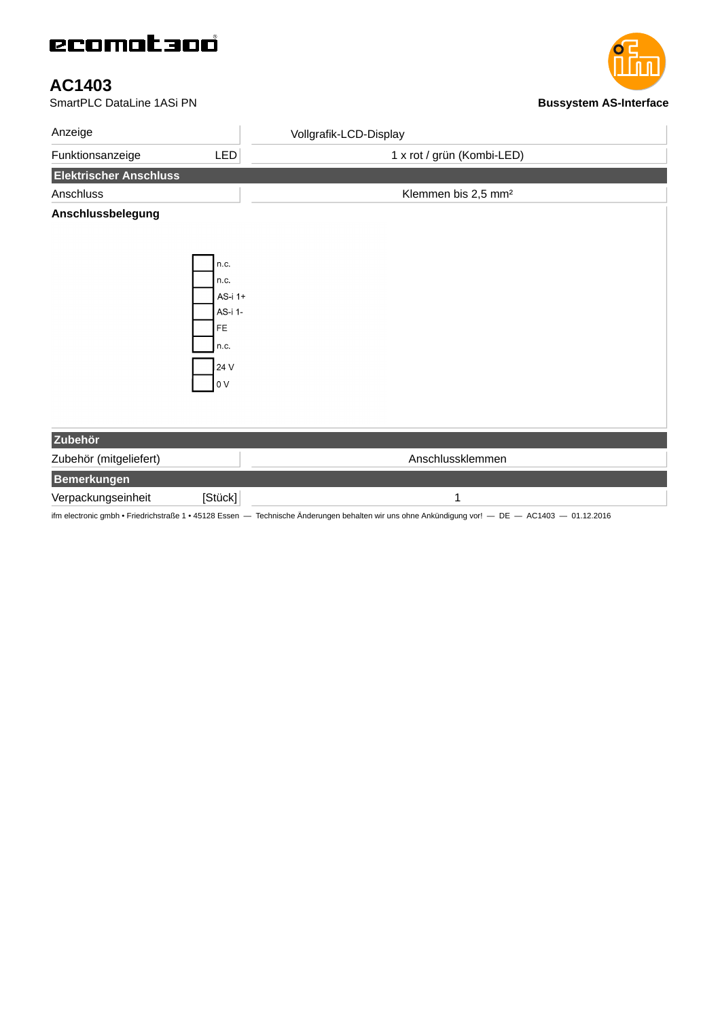# ecomataoó

# **AC1403**

**SmartPLC DataLine 1ASi PN Bussystem AS-Interface** 

| Anzeige                       |            | Vollgrafik-LCD-Display          |
|-------------------------------|------------|---------------------------------|
| Funktionsanzeige              | <b>LED</b> | 1 x rot / grün (Kombi-LED)      |
| <b>Elektrischer Anschluss</b> |            |                                 |
| Anschluss                     |            | Klemmen bis 2,5 mm <sup>2</sup> |
| Anschlussbelegung             |            |                                 |
|                               |            |                                 |
|                               |            |                                 |
|                               | n.c.       |                                 |
|                               | n.c.       |                                 |
|                               | AS-i 1+    |                                 |
|                               | AS-i 1-    |                                 |
|                               | FE         |                                 |
|                               | n.c.       |                                 |
|                               |            |                                 |
|                               | 24 V       |                                 |
|                               | 0V         |                                 |
|                               |            |                                 |
|                               |            |                                 |
| Zubehör                       |            |                                 |
| Zubehör (mitgeliefert)        |            | Anschlussklemmen                |
| <b>Bemerkungen</b>            |            |                                 |
| Verpackungseinheit            | [Stück]    | $\mathbf 1$                     |

ifm electronic gmbh • Friedrichstraße 1 • 45128 Essen — Technische Änderungen behalten wir uns ohne Ankündigung vor! — DE — AC1403 — 01.12.2016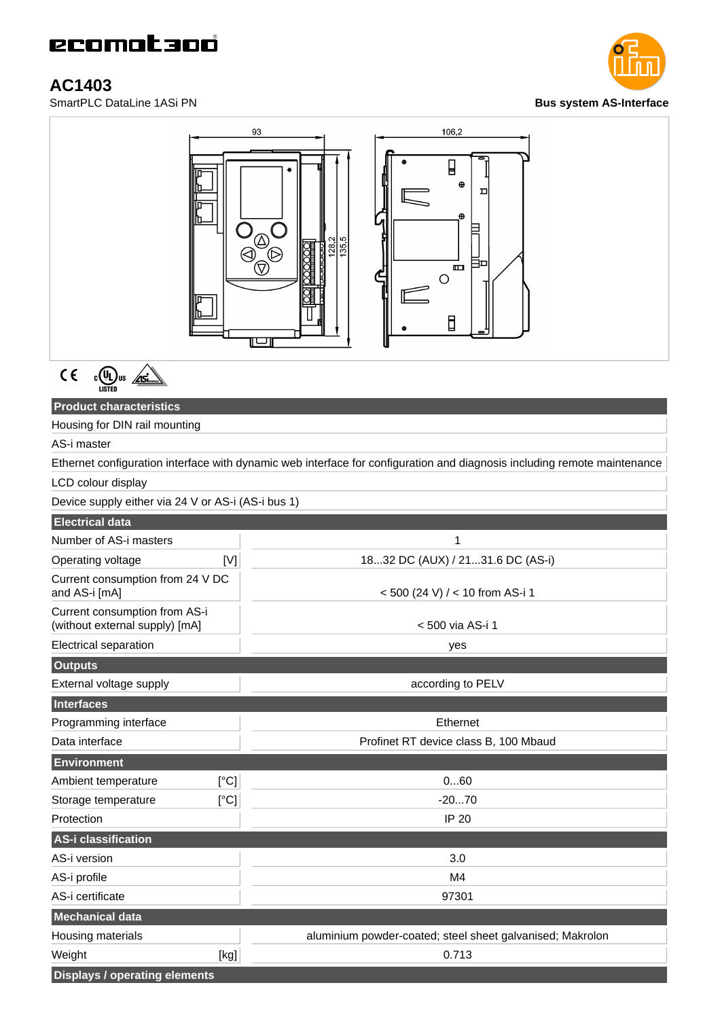# **AC1403**

**SmartPLC DataLine 1ASi PN Bus** system AS-Interface





 $C \in$  $c$  (U<sub>L</sub>) us  $\sqrt{15}$ 

## **Product characteristics**

Housing for DIN rail mounting

AS-i master

Ethernet configuration interface with dynamic web interface for configuration and diagnosis including remote maintenance LCD colour display

Device supply either via 24 V or AS-i (AS-i bus 1)

| $D \cup D \cup D \cup D$ $D \cup D \cup D$ is $D \cup D \cup D \cup D \cup D \cup D$ |      |                                                           |
|--------------------------------------------------------------------------------------|------|-----------------------------------------------------------|
| <b>Electrical data</b>                                                               |      |                                                           |
| Number of AS-i masters                                                               |      | 1                                                         |
| Operating voltage                                                                    | [V]  | 1832 DC (AUX) / 2131.6 DC (AS-i)                          |
| Current consumption from 24 V DC<br>and AS-i [mA]                                    |      | <500 (24 V) / < 10 from AS-i 1                            |
| Current consumption from AS-i<br>(without external supply) [mA]                      |      | < 500 via AS-i 1                                          |
| Electrical separation                                                                |      | yes                                                       |
| <b>Outputs</b>                                                                       |      |                                                           |
| External voltage supply                                                              |      | according to PELV                                         |
| <b>Interfaces</b>                                                                    |      |                                                           |
| Programming interface                                                                |      | Ethernet                                                  |
| Data interface                                                                       |      | Profinet RT device class B, 100 Mbaud                     |
| Environment                                                                          |      |                                                           |
| Ambient temperature                                                                  | [°C] | 060                                                       |
| Storage temperature                                                                  | [°C] | $-2070$                                                   |
| Protection                                                                           |      | <b>IP 20</b>                                              |
| AS-i classification                                                                  |      |                                                           |
| AS-i version                                                                         |      | 3.0                                                       |
| AS-i profile                                                                         |      | M4                                                        |
| AS-i certificate                                                                     |      | 97301                                                     |
| <b>Mechanical data</b>                                                               |      |                                                           |
| Housing materials                                                                    |      | aluminium powder-coated; steel sheet galvanised; Makrolon |
| Weight                                                                               | [kg] | 0.713                                                     |
| <b>Displays / operating elements</b>                                                 |      |                                                           |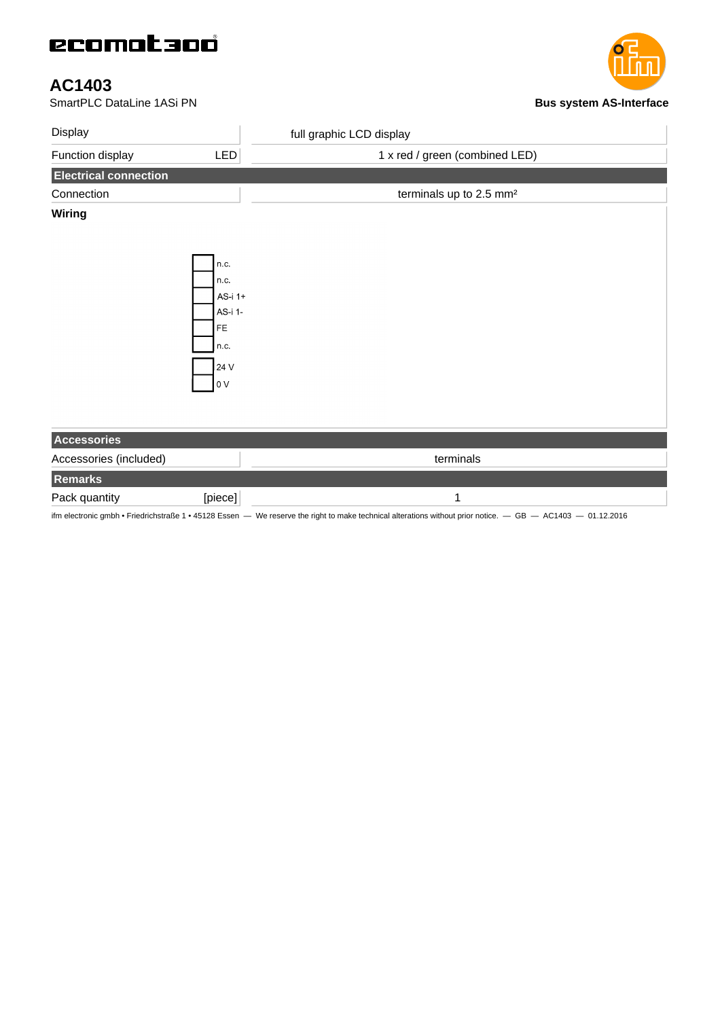# ecomataoó

# **AC1403**

#### **SmartPLC DataLine 1ASi PN Bus** system AS-Interface

| Display                      |                  | full graphic LCD display            |
|------------------------------|------------------|-------------------------------------|
| Function display             | LED              | 1 x red / green (combined LED)      |
| <b>Electrical connection</b> |                  |                                     |
| Connection                   |                  | terminals up to 2.5 mm <sup>2</sup> |
| <b>Wiring</b>                |                  |                                     |
|                              |                  |                                     |
|                              |                  |                                     |
|                              | n.c.             |                                     |
|                              | n.c.             |                                     |
|                              | AS-i 1+          |                                     |
|                              | AS-i 1-          |                                     |
|                              | FE               |                                     |
|                              | n.c.             |                                     |
|                              | 24 V             |                                     |
|                              | $\overline{0}$ V |                                     |
|                              |                  |                                     |
|                              |                  |                                     |
|                              |                  |                                     |
| Accessories                  |                  |                                     |
| Accessories (included)       |                  | terminals                           |
| Remarks                      |                  |                                     |
| Pack quantity                | [piece]          | $\mathbf{1}$                        |

ifm electronic gmbh • Friedrichstraße 1 • 45128 Essen — We reserve the right to make technical alterations without prior notice. — GB — AC1403 — 01.12.2016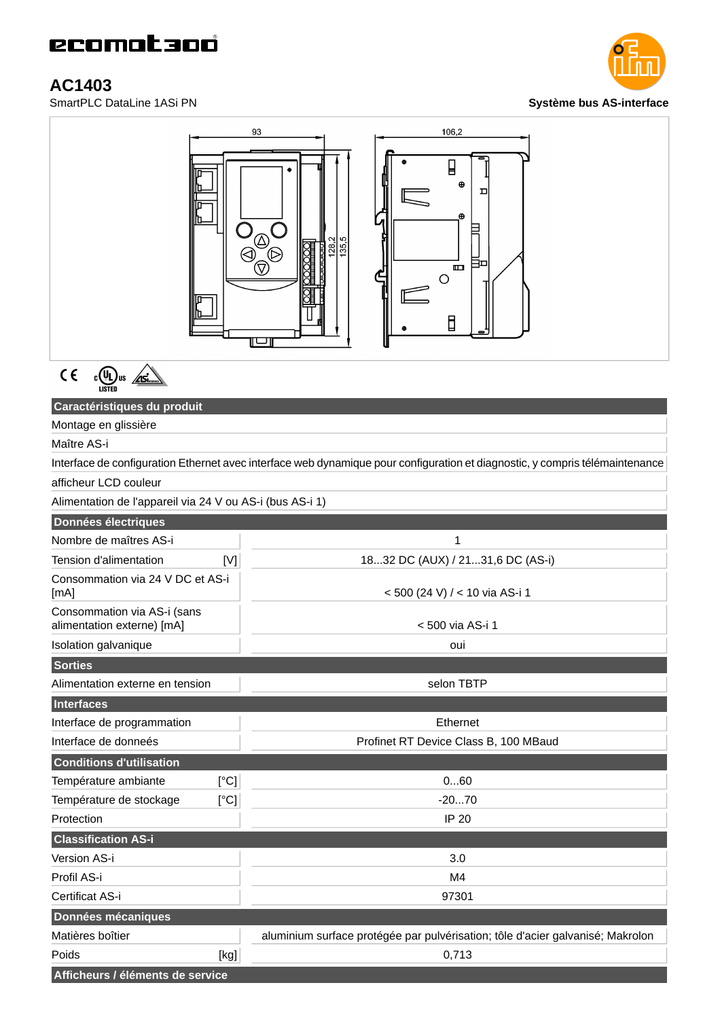# **AC1403**





 $C \in$  $c$ (U<sub>L</sub>) us  $\sqrt{gs}$ 

### **Caractéristiques du produit**

Montage en glissière

## Maître AS-i

Interface de configuration Ethernet avec interface web dynamique pour configuration et diagnostic, y compris télémaintenance

#### afficheur LCD couleur

Alimentation de l'appareil via 24 V ou AS-i (bus AS-i 1)

| Données électriques                                       |                                                                                |
|-----------------------------------------------------------|--------------------------------------------------------------------------------|
| Nombre de maîtres AS-i                                    | 1                                                                              |
| Tension d'alimentation<br>[N]                             | 1832 DC (AUX) / 2131,6 DC (AS-i)                                               |
| Consommation via 24 V DC et AS-i<br>[mA]                  | < 500 (24 V) / < 10 via AS-i 1                                                 |
| Consommation via AS-i (sans<br>alimentation externe) [mA] | < 500 via AS-i 1                                                               |
| Isolation galvanique                                      | oui                                                                            |
| <b>Sorties</b>                                            |                                                                                |
| Alimentation externe en tension                           | selon TBTP                                                                     |
| Interfaces                                                |                                                                                |
| Interface de programmation                                | Ethernet                                                                       |
| Interface de donneés                                      | Profinet RT Device Class B, 100 MBaud                                          |
| <b>Conditions d'utilisation</b>                           |                                                                                |
| [°C]<br>Température ambiante                              | 060                                                                            |
| Température de stockage<br>[°C]                           | $-2070$                                                                        |
| Protection                                                | <b>IP 20</b>                                                                   |
| <b>Classification AS-i</b>                                |                                                                                |
| Version AS-i                                              | 3.0                                                                            |
| Profil AS-i                                               | M4                                                                             |
| Certificat AS-i                                           | 97301                                                                          |
| Données mécaniques                                        |                                                                                |
| Matières boîtier                                          | aluminium surface protégée par pulvérisation; tôle d'acier galvanisé; Makrolon |
| Poids<br>[kg]                                             | 0,713                                                                          |
| Afficheurs / éléments de service                          |                                                                                |